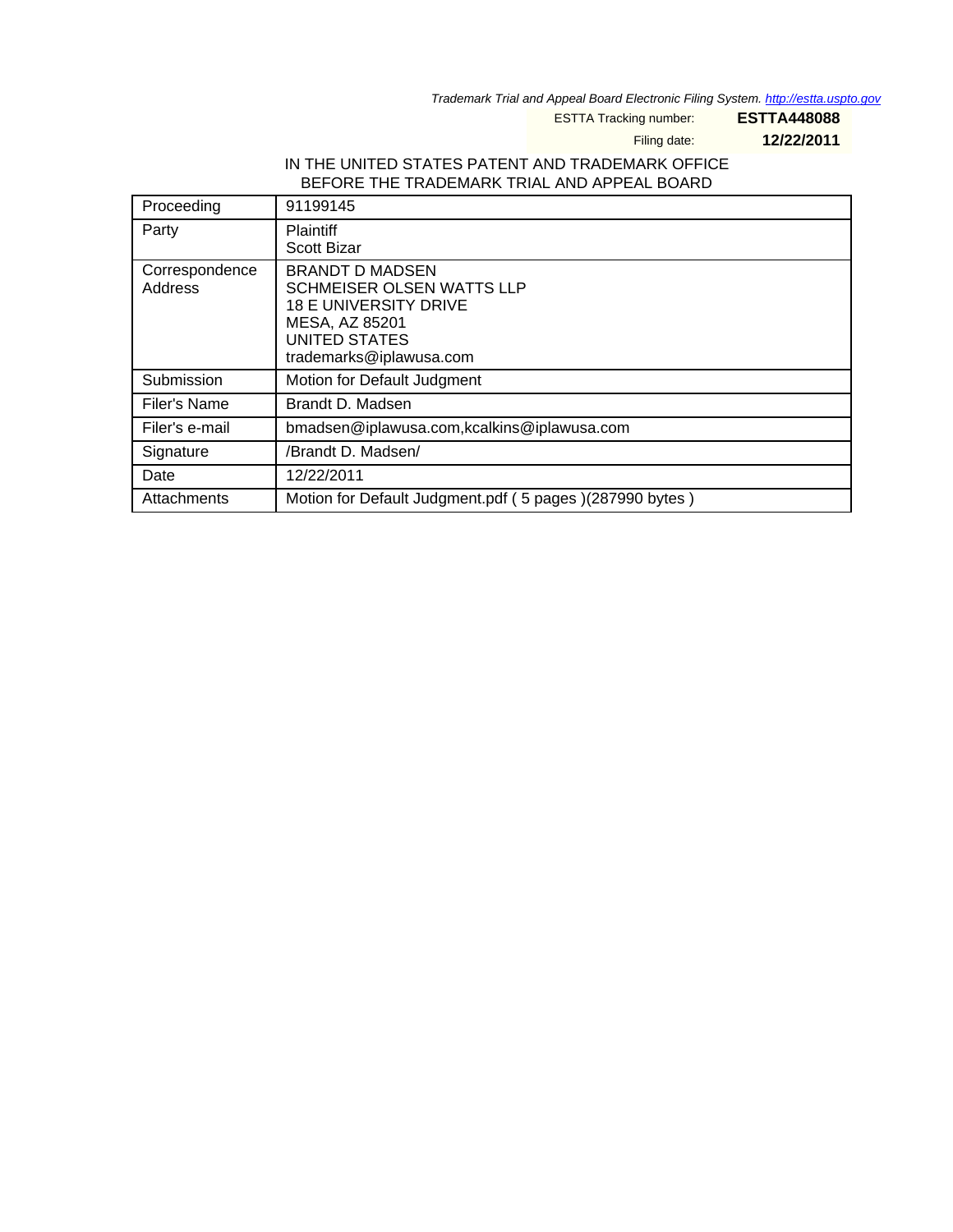Trademark Trial and Appeal Board Electronic Filing System. http://estta.uspto.gov

ESTTA Tracking number: **ESTTA448088**

Filing date: **12/22/2011**

### IN THE UNITED STATES PATENT AND TRADEMARK OFFICE BEFORE THE TRADEMARK TRIAL AND APPEAL BOARD

| Proceeding                | 91199145                                                                                                                                                 |
|---------------------------|----------------------------------------------------------------------------------------------------------------------------------------------------------|
| Party                     | <b>Plaintiff</b><br><b>Scott Bizar</b>                                                                                                                   |
| Correspondence<br>Address | <b>BRANDT D MADSEN</b><br><b>SCHMEISER OLSEN WATTS LLP</b><br><b>18 E UNIVERSITY DRIVE</b><br>MESA, AZ 85201<br>UNITED STATES<br>trademarks@iplawusa.com |
| Submission                | Motion for Default Judgment                                                                                                                              |
| Filer's Name              | Brandt D. Madsen                                                                                                                                         |
| Filer's e-mail            | bmadsen@iplawusa.com,kcalkins@iplawusa.com                                                                                                               |
| Signature                 | /Brandt D. Madsen/                                                                                                                                       |
| Date                      | 12/22/2011                                                                                                                                               |
| Attachments               | Motion for Default Judgment.pdf (5 pages) (287990 bytes)                                                                                                 |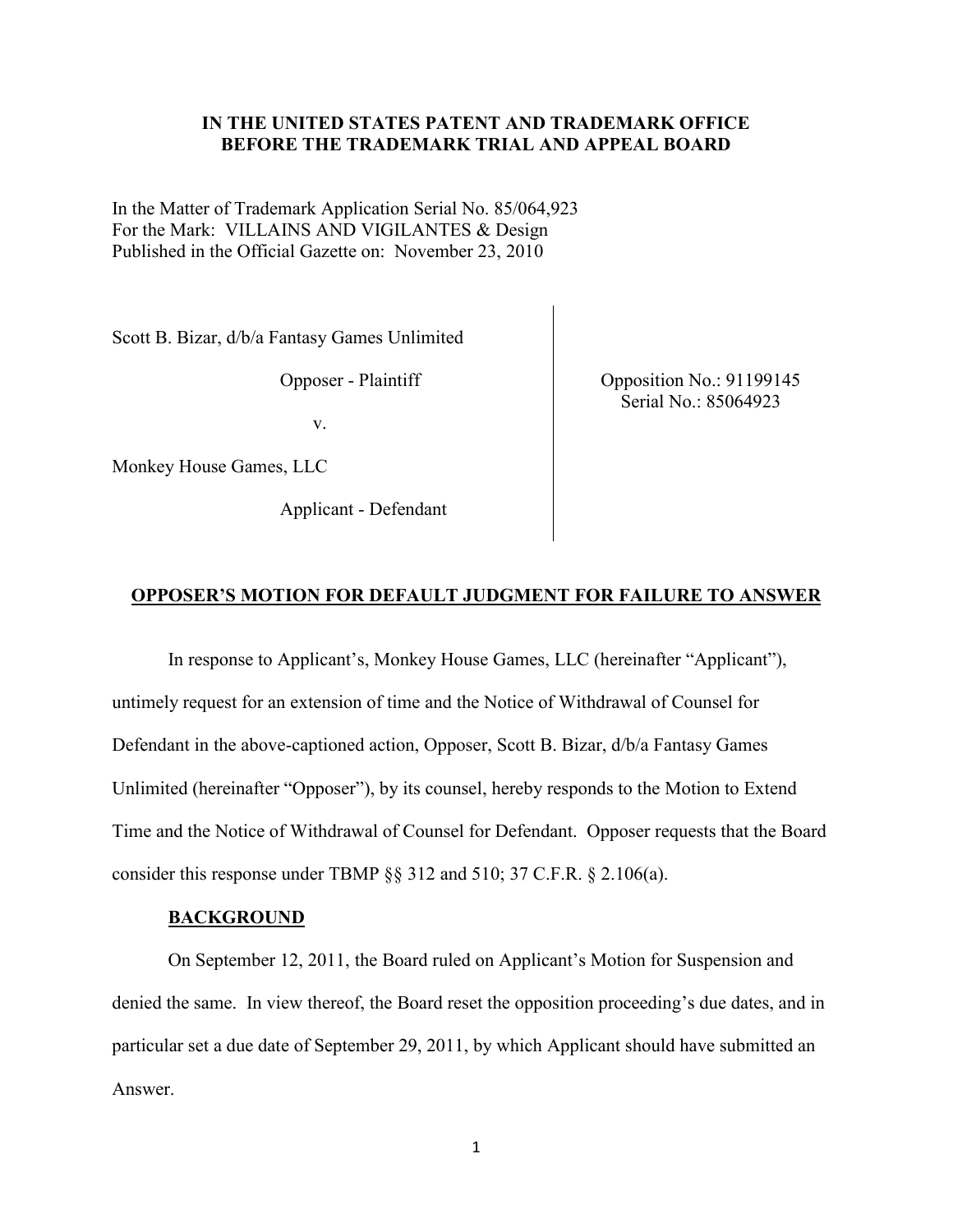# **IN THE UNITED STATES PATENT AND TRADEMARK OFFICE BEFORE THE TRADEMARK TRIAL AND APPEAL BOARD**

In the Matter of Trademark Application Serial No. 85/064,923 For the Mark: VILLAINS AND VIGILANTES & Design Published in the Official Gazette on: November 23, 2010

Scott B. Bizar, d/b/a Fantasy Games Unlimited

Opposer - Plaintiff

v.

Monkey House Games, LLC

Applicant - Defendant

Opposition No.: 91199145 Serial No.: 85064923

#### **OPPOSER'S MOTION FOR DEFAULT JUDGMENT FOR FAILURE TO ANSWER**

In response to Applicant's, Monkey House Games, LLC (hereinafter "Applicant"), untimely request for an extension of time and the Notice of Withdrawal of Counsel for Defendant in the above-captioned action, Opposer, Scott B. Bizar, d/b/a Fantasy Games Unlimited (hereinafter "Opposer"), by its counsel, hereby responds to the Motion to Extend Time and the Notice of Withdrawal of Counsel for Defendant. Opposer requests that the Board consider this response under TBMP §§ 312 and 510; 37 C.F.R. § 2.106(a).

#### **BACKGROUND**

On September 12, 2011, the Board ruled on Applicant's Motion for Suspension and denied the same. In view thereof, the Board reset the opposition proceeding's due dates, and in particular set a due date of September 29, 2011, by which Applicant should have submitted an Answer.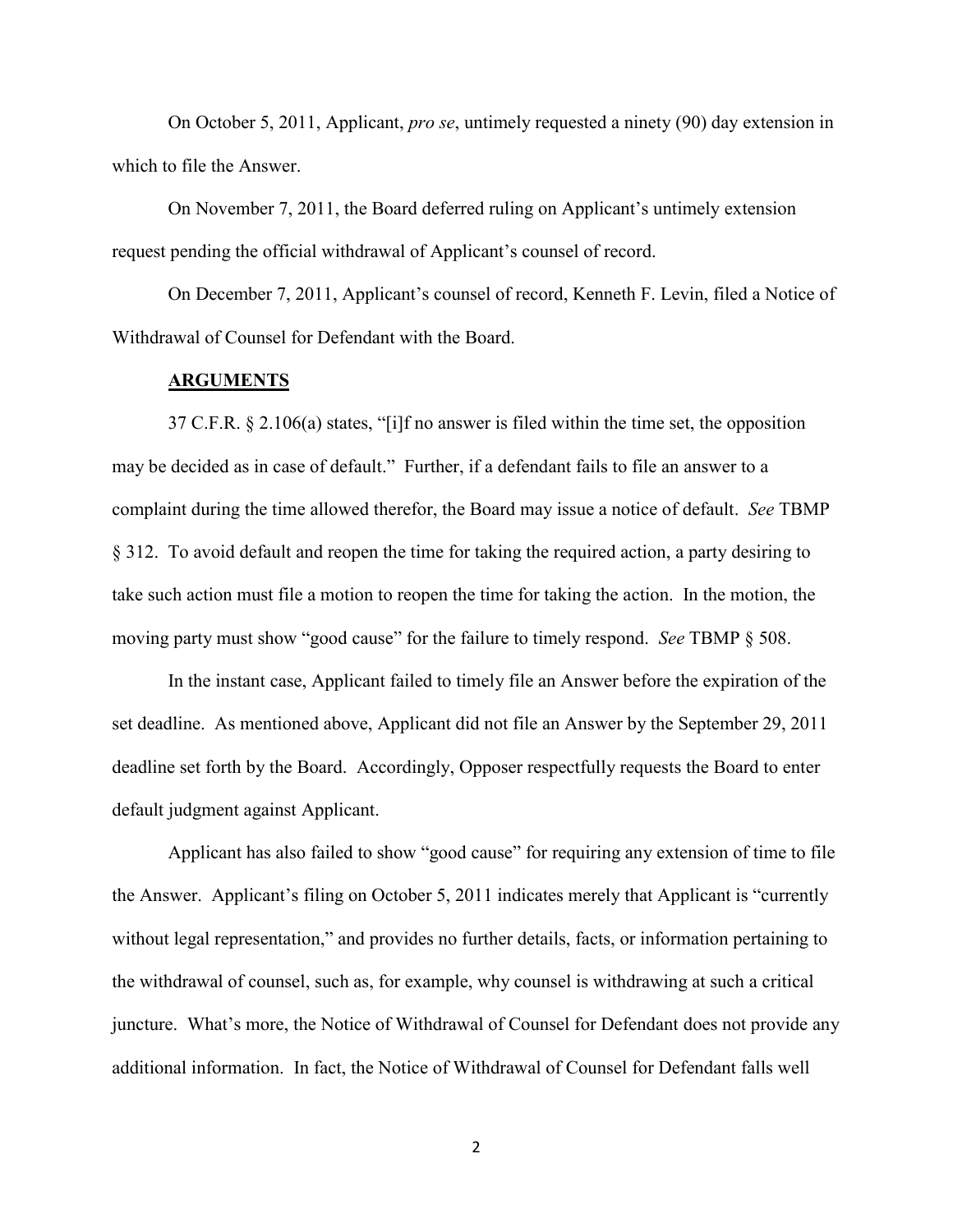On October 5, 2011, Applicant, *pro se*, untimely requested a ninety (90) day extension in which to file the Answer.

On November 7, 2011, the Board deferred ruling on Applicant's untimely extension request pending the official withdrawal of Applicant's counsel of record.

On December 7, 2011, Applicant's counsel of record, Kenneth F. Levin, filed a Notice of Withdrawal of Counsel for Defendant with the Board.

#### **ARGUMENTS**

37 C.F.R. § 2.106(a) states, "[i]f no answer is filed within the time set, the opposition may be decided as in case of default." Further, if a defendant fails to file an answer to a complaint during the time allowed therefor, the Board may issue a notice of default. *See* TBMP § 312. To avoid default and reopen the time for taking the required action, a party desiring to take such action must file a motion to reopen the time for taking the action. In the motion, the moving party must show "good cause" for the failure to timely respond. *See* TBMP § 508.

In the instant case, Applicant failed to timely file an Answer before the expiration of the set deadline. As mentioned above, Applicant did not file an Answer by the September 29, 2011 deadline set forth by the Board. Accordingly, Opposer respectfully requests the Board to enter default judgment against Applicant.

Applicant has also failed to show "good cause" for requiring any extension of time to file the Answer. Applicant's filing on October 5, 2011 indicates merely that Applicant is "currently without legal representation," and provides no further details, facts, or information pertaining to the withdrawal of counsel, such as, for example, why counsel is withdrawing at such a critical juncture. What's more, the Notice of Withdrawal of Counsel for Defendant does not provide any additional information. In fact, the Notice of Withdrawal of Counsel for Defendant falls well

2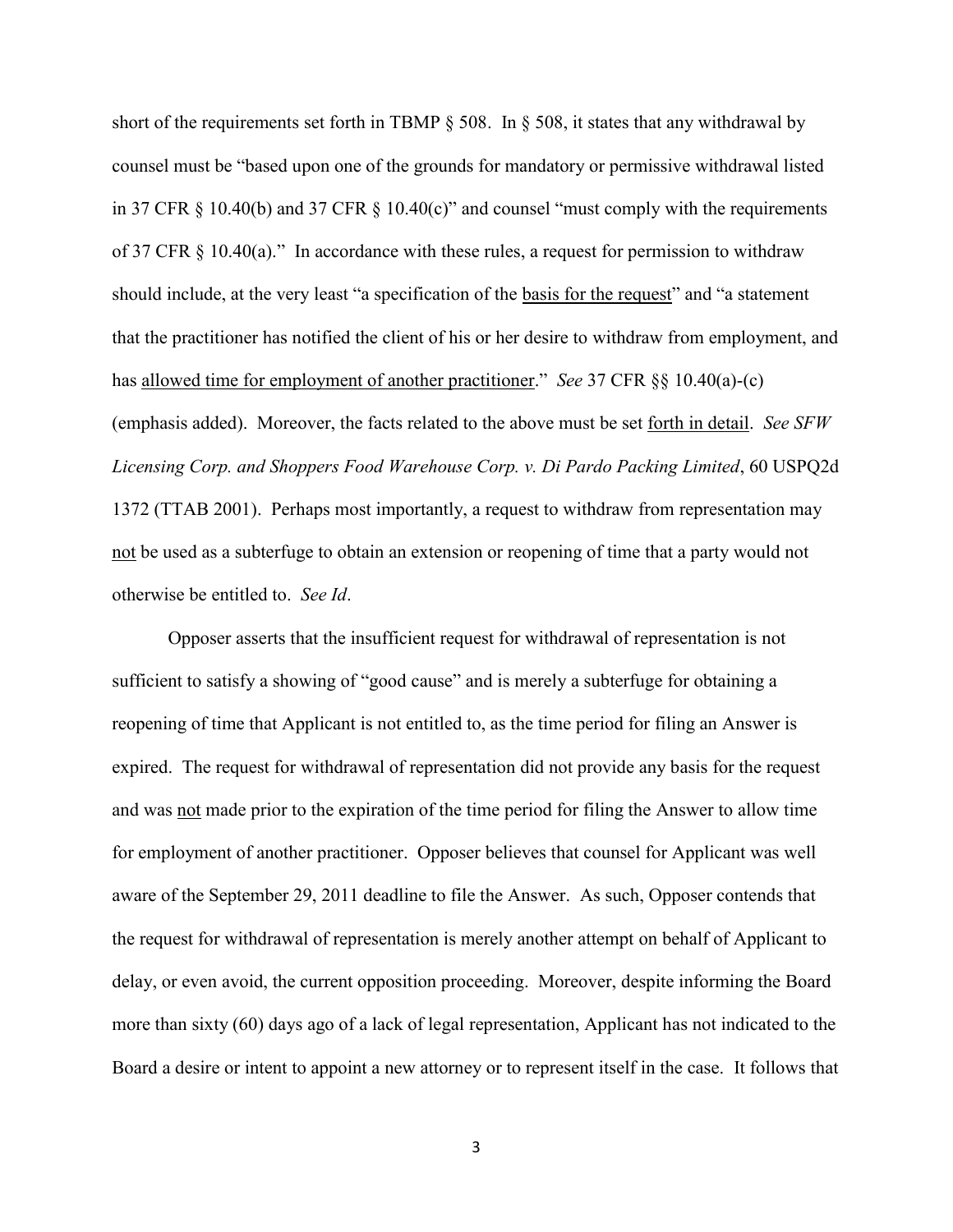short of the requirements set forth in TBMP § 508. In § 508, it states that any withdrawal by counsel must be "based upon one of the grounds for mandatory or permissive withdrawal listed in 37 CFR  $\S$  10.40(b) and 37 CFR  $\S$  10.40(c)" and counsel "must comply with the requirements of 37 CFR § 10.40(a)." In accordance with these rules, a request for permission to withdraw should include, at the very least "a specification of the basis for the request" and "a statement that the practitioner has notified the client of his or her desire to withdraw from employment, and has allowed time for employment of another practitioner." *See* 37 CFR §§ 10.40(a)-(c) (emphasis added). Moreover, the facts related to the above must be set forth in detail. *See SFW Licensing Corp. and Shoppers Food Warehouse Corp. v. Di Pardo Packing Limited*, 60 USPQ2d 1372 (TTAB 2001). Perhaps most importantly, a request to withdraw from representation may not be used as a subterfuge to obtain an extension or reopening of time that a party would not otherwise be entitled to. *See Id*.

Opposer asserts that the insufficient request for withdrawal of representation is not sufficient to satisfy a showing of "good cause" and is merely a subterfuge for obtaining a reopening of time that Applicant is not entitled to, as the time period for filing an Answer is expired. The request for withdrawal of representation did not provide any basis for the request and was not made prior to the expiration of the time period for filing the Answer to allow time for employment of another practitioner. Opposer believes that counsel for Applicant was well aware of the September 29, 2011 deadline to file the Answer. As such, Opposer contends that the request for withdrawal of representation is merely another attempt on behalf of Applicant to delay, or even avoid, the current opposition proceeding. Moreover, despite informing the Board more than sixty (60) days ago of a lack of legal representation, Applicant has not indicated to the Board a desire or intent to appoint a new attorney or to represent itself in the case. It follows that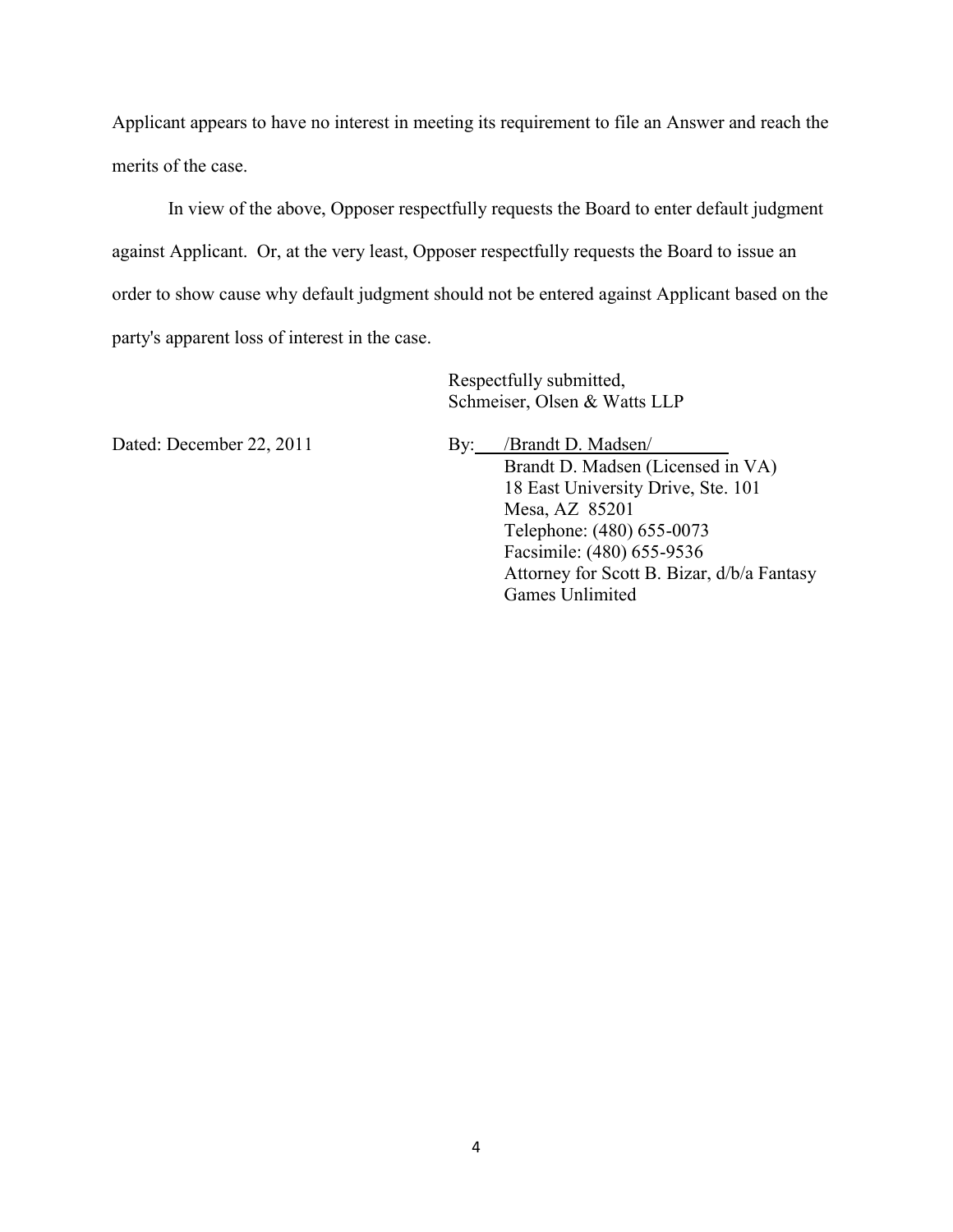Applicant appears to have no interest in meeting its requirement to file an Answer and reach the merits of the case.

In view of the above, Opposer respectfully requests the Board to enter default judgment against Applicant. Or, at the very least, Opposer respectfully requests the Board to issue an order to show cause why default judgment should not be entered against Applicant based on the party's apparent loss of interest in the case.

> Respectfully submitted, Schmeiser, Olsen & Watts LLP

Dated: December 22, 2011 By: /Brandt D. Madsen/ Brandt D. Madsen (Licensed in VA) 18 East University Drive, Ste. 101 Mesa, AZ 85201 Telephone: (480) 655-0073 Facsimile: (480) 655-9536 Attorney for Scott B. Bizar, d/b/a Fantasy Games Unlimited